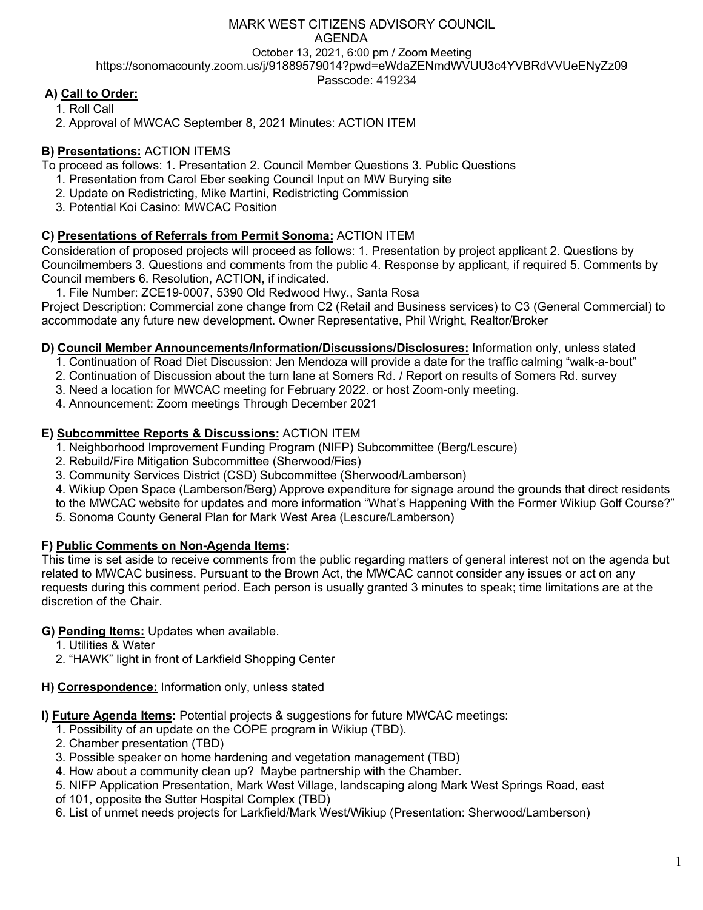# MARK WEST CITIZENS ADVISORY COUNCIL AGENDA October 13, 2021, 6:00 pm / Zoom Meeting https://sonomacounty.zoom.us/j/91889579014?pwd=eWdaZENmdWVUU3c4YVBRdVVUeENyZz09 Passcode: 419234

# **A) Call to Order:**

1. Roll Call

2. Approval of MWCAC September 8, 2021 Minutes: ACTION ITEM

### **B) Presentations:** ACTION ITEMS

To proceed as follows: 1. Presentation 2. Council Member Questions 3. Public Questions

- 1. Presentation from Carol Eber seeking Council Input on MW Burying site
- 2. Update on Redistricting, Mike Martini, Redistricting Commission
- 3. Potential Koi Casino: MWCAC Position

### **C) Presentations of Referrals from Permit Sonoma:** ACTION ITEM

Consideration of proposed projects will proceed as follows: 1. Presentation by project applicant 2. Questions by Councilmembers 3. Questions and comments from the public 4. Response by applicant, if required 5. Comments by Council members 6. Resolution, ACTION, if indicated.

1. File Number: ZCE19-0007, 5390 Old Redwood Hwy., Santa Rosa

Project Description: Commercial zone change from C2 (Retail and Business services) to C3 (General Commercial) to accommodate any future new development. Owner Representative, Phil Wright, Realtor/Broker

### **D) Council Member Announcements/Information/Discussions/Disclosures:** Information only, unless stated

- 1. Continuation of Road Diet Discussion: Jen Mendoza will provide a date for the traffic calming "walk-a-bout"
- 2. Continuation of Discussion about the turn lane at Somers Rd. / Report on results of Somers Rd. survey
- 3. Need a location for MWCAC meeting for February 2022. or host Zoom-only meeting.
- 4. Announcement: Zoom meetings Through December 2021

### **E) Subcommittee Reports & Discussions:** ACTION ITEM

- 1. Neighborhood Improvement Funding Program (NIFP) Subcommittee (Berg/Lescure)
- 2. Rebuild/Fire Mitigation Subcommittee (Sherwood/Fies)
- 3. Community Services District (CSD) Subcommittee (Sherwood/Lamberson)
- 4. Wikiup Open Space (Lamberson/Berg) Approve expenditure for signage around the grounds that direct residents
- to the MWCAC website for updates and more information "What's Happening With the Former Wikiup Golf Course?"
- 5. Sonoma County General Plan for Mark West Area (Lescure/Lamberson)

### **F) Public Comments on Non-Agenda Items:**

This time is set aside to receive comments from the public regarding matters of general interest not on the agenda but related to MWCAC business. Pursuant to the Brown Act, the MWCAC cannot consider any issues or act on any requests during this comment period. Each person is usually granted 3 minutes to speak; time limitations are at the discretion of the Chair.

### **G) Pending Items:** Updates when available.

- 1. Utilities & Water
- 2. "HAWK" light in front of Larkfield Shopping Center
- **H) Correspondence:** Information only, unless stated

**I) Future Agenda Items:** Potential projects & suggestions for future MWCAC meetings:

- 1. Possibility of an update on the COPE program in Wikiup (TBD).
- 2. Chamber presentation (TBD)
- 3. Possible speaker on home hardening and vegetation management (TBD)
- 4. How about a community clean up? Maybe partnership with the Chamber.
- 5. NIFP Application Presentation, Mark West Village, landscaping along Mark West Springs Road, east
- of 101, opposite the Sutter Hospital Complex (TBD)
- 6. List of unmet needs projects for Larkfield/Mark West/Wikiup (Presentation: Sherwood/Lamberson)